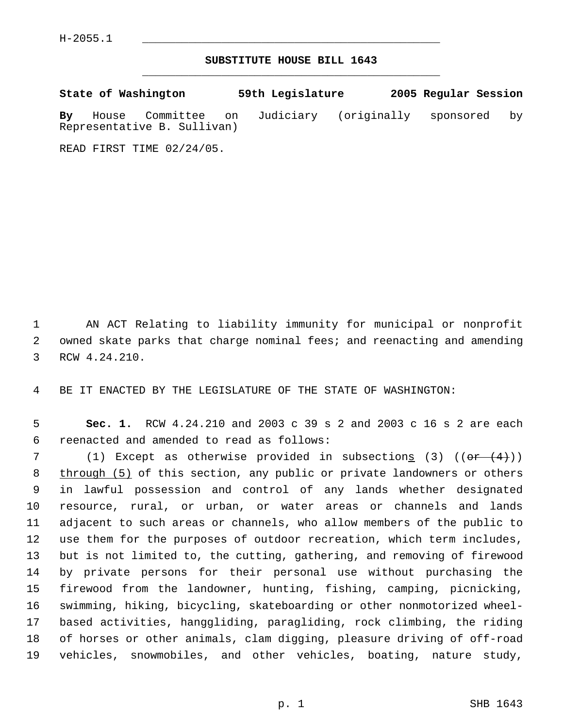## **SUBSTITUTE HOUSE BILL 1643** \_\_\_\_\_\_\_\_\_\_\_\_\_\_\_\_\_\_\_\_\_\_\_\_\_\_\_\_\_\_\_\_\_\_\_\_\_\_\_\_\_\_\_\_\_

**State of Washington 59th Legislature 2005 Regular Session By** House Committee on Judiciary (originally sponsored by Representative B. Sullivan)

READ FIRST TIME 02/24/05.

 AN ACT Relating to liability immunity for municipal or nonprofit owned skate parks that charge nominal fees; and reenacting and amending RCW 4.24.210.

BE IT ENACTED BY THE LEGISLATURE OF THE STATE OF WASHINGTON:

 **Sec. 1.** RCW 4.24.210 and 2003 c 39 s 2 and 2003 c 16 s 2 are each reenacted and amended to read as follows:

7 (1) Except as otherwise provided in subsection<u>s</u> (3)  $((e+ (4))$ 8 through (5) of this section, any public or private landowners or others in lawful possession and control of any lands whether designated resource, rural, or urban, or water areas or channels and lands adjacent to such areas or channels, who allow members of the public to use them for the purposes of outdoor recreation, which term includes, but is not limited to, the cutting, gathering, and removing of firewood by private persons for their personal use without purchasing the firewood from the landowner, hunting, fishing, camping, picnicking, swimming, hiking, bicycling, skateboarding or other nonmotorized wheel- based activities, hanggliding, paragliding, rock climbing, the riding of horses or other animals, clam digging, pleasure driving of off-road vehicles, snowmobiles, and other vehicles, boating, nature study,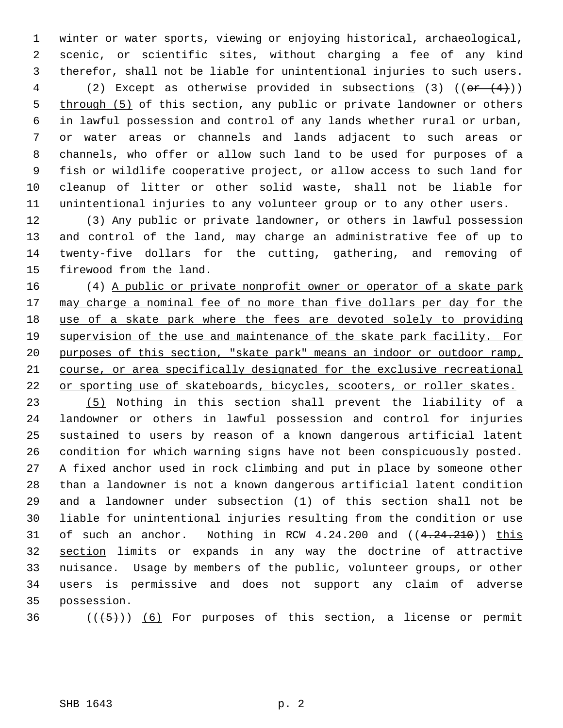winter or water sports, viewing or enjoying historical, archaeological, scenic, or scientific sites, without charging a fee of any kind therefor, shall not be liable for unintentional injuries to such users.

4 (2) Except as otherwise provided in subsections (3)  $((or  $(4)$ ))$ 5 through (5) of this section, any public or private landowner or others in lawful possession and control of any lands whether rural or urban, or water areas or channels and lands adjacent to such areas or channels, who offer or allow such land to be used for purposes of a fish or wildlife cooperative project, or allow access to such land for cleanup of litter or other solid waste, shall not be liable for unintentional injuries to any volunteer group or to any other users.

 (3) Any public or private landowner, or others in lawful possession and control of the land, may charge an administrative fee of up to twenty-five dollars for the cutting, gathering, and removing of firewood from the land.

 (4) A public or private nonprofit owner or operator of a skate park 17 may charge a nominal fee of no more than five dollars per day for the 18 use of a skate park where the fees are devoted solely to providing 19 supervision of the use and maintenance of the skate park facility. For purposes of this section, "skate park" means an indoor or outdoor ramp, course, or area specifically designated for the exclusive recreational 22 or sporting use of skateboards, bicycles, scooters, or roller skates.

 (5) Nothing in this section shall prevent the liability of a landowner or others in lawful possession and control for injuries sustained to users by reason of a known dangerous artificial latent condition for which warning signs have not been conspicuously posted. A fixed anchor used in rock climbing and put in place by someone other than a landowner is not a known dangerous artificial latent condition and a landowner under subsection (1) of this section shall not be liable for unintentional injuries resulting from the condition or use 31 of such an anchor. Nothing in RCW  $4.24.200$  and  $((4.24.210))$  this section limits or expands in any way the doctrine of attractive nuisance. Usage by members of the public, volunteer groups, or other users is permissive and does not support any claim of adverse possession.

36  $((+5))$  (6) For purposes of this section, a license or permit